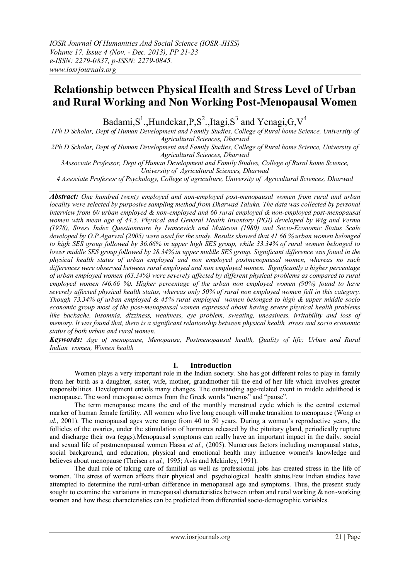# **Relationship between Physical Health and Stress Level of Urban and Rural Working and Non Working Post-Menopausal Women**

Badami,S<sup>1</sup>.,Hundekar,P,S<sup>2</sup>.,Itagi,S<sup>3</sup> and Yenagi,G,V<sup>4</sup>

*1Ph D Scholar, Dept of Human Development and Family Studies, College of Rural home Science, University of Agricultural Sciences, Dharwad*

*2Ph D Scholar, Dept of Human Development and Family Studies, College of Rural home Science, University of Agricultural Sciences, Dharwad*

*3Associate Professor, Dept of Human Development and Family Studies, College of Rural home Science, University of Agricultural Sciences, Dharwad*

*4 Associate Professor of Psychology, College of agriculture, University of Agricultural Sciences, Dharwad*

*Abstract: One hundred twenty employed and non-employed post-menopausal women from rural and urban locality were selected by purposive sampling method from Dharwad Taluka. The data was collected by personal interview from 60 urban employed & non-employed and 60 rural employed & non-employed post-menopausal women with mean age of 44.5. Physical and General Health Inventory (PGI) developed by Wig and Verma (1978), Stress Index Questionnaire by Ivancevich and Matteson (1980) and Socio-Economic Status Scale developed by O.P.Agarwal (2005) were used for the study. Results showed that 41.66 % urban women belonged to high SES group followed by 36.66% in upper high SES group, while 33.34% of rural women belonged to lower middle SES group followed by 28.34% in upper middle SES group. Significant difference was found in the physical health status of urban employed and non employed postmenopausal women, whereas no such differences were observed between rural employed and non employed women. Significantly a higher percentage of urban employed women (63.34%) were severely affected by different physical problems as compared to rural employed women (46.66 %). Higher percentage of the urban non employed women (90%) found to have severely affected physical health status, whereas only 50% of rural non employed women fell in this category. Though 73.34% of urban employed & 45% rural employed women belonged to high & upper middle socio economic group most of the post-menopausal women expressed about having severe physical health problems like backache, insomnia, dizziness, weakness, eye problem, sweating, uneasiness, irritability and loss of memory. It was found that, there is a significant relationship between physical health, stress and socio economic status of both urban and rural women.*

*Keywords: Age of menopause, Menopause, Postmenopausal health, Quality of life; Urban and Rural Indian women, Women health*

## **I. Introduction**

Women plays a very important role in the Indian society. She has got different roles to play in family from her birth as a daughter, sister, wife, mother, grandmother till the end of her life which involves greater responsibilities. Development entails many changes. The outstanding age-related event in middle adulthood is menopause. The word menopause comes from the Greek words "menos" and "pause".

The term menopause means the end of the monthly menstrual cycle which is the central external marker of human female fertility. All women who live long enough will make transition to menopause (Wong *et al.*, 2001). The menopausal ages were range from 40 to 50 years. During a woman's reproductive years, the follicles of the ovaries, under the stimulation of hormones released by the pituitary gland, periodically rupture and discharge their ova (eggs).Menopausal symptoms can really have an important impact in the daily, social and sexual life of postmenopausal women Hassa *et al.,* (2005). Numerous factors including menopausal status, social background, and education, physical and emotional health may influence women's knowledge and believes about menopause (Theisen *et al.,* 1995; Avis and Mckinley, 1991).

The dual role of taking care of familial as well as professional jobs has created stress in the life of women. The stress of women affects their physical and psychological health status.Few Indian studies have attempted to determine the rural-urban difference in menopausal age and symptoms. Thus, the present study sought to examine the variations in menopausal characteristics between urban and rural working  $\&$  non-working women and how these characteristics can be predicted from differential socio-demographic variables.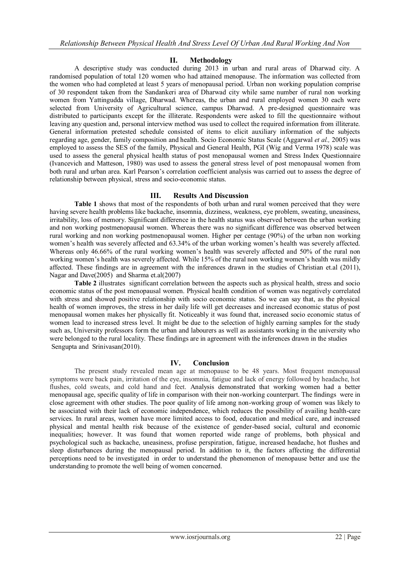## **II. Methodology**

A descriptive study was conducted during 2013 in urban and rural areas of Dharwad city. A randomised population of total 120 women who had attained menopause. The information was collected from the women who had completed at least 5 years of menopausal period. Urban non working population comprise of 30 respondent taken from the Sandankeri area of Dharwad city while same number of rural non working women from Yattingudda village, Dharwad. Whereas, the urban and rural employed women 30 each were selected from University of Agricultural science, campus Dharwad. A pre-designed questionnaire was distributed to participants except for the illiterate. Respondents were asked to fill the questionnaire without leaving any question and, personal interview method was used to collect the required information from illiterate. General information pretested schedule consisted of items to elicit auxiliary information of the subjects regarding age, gender, family composition and health. Socio Economic Status Scale (Aggarwal *et al.,* 2005) was employed to assess the SES of the family, Physical and General Health, PGI (Wig and Verma 1978) scale was used to assess the general physical health status of post menopausal women and Stress Index Questionnaire (Ivancevich and Matteson, 1980) was used to assess the general stress level of post menopausal women from both rural and urban area. Karl Pearson's correlation coefficient analysis was carried out to assess the degree of relationship between physical, stress and socio-economic status.

## **III. Results And Discussion**

**Table 1** shows that most of the respondents of both urban and rural women perceived that they were having severe health problems like backache, insomnia, dizziness, weakness, eye problem, sweating, uneasiness, irritability, loss of memory. Significant difference in the health status was observed between the urban working and non working postmenopausal women. Whereas there was no significant difference was observed between rural working and non working postmenopausal women. Higher per centage (90%) of the urban non working women's health was severely affected and 63.34% of the urban working women's health was severely affected. Whereas only 46.66% of the rural working women's health was severely affected and 50% of the rural non working women's health was severely affected. While 15% of the rural non working women's health was mildly affected. These findings are in agreement with the inferences drawn in the studies of Christian et.al (2011), Nagar and Dave(2005) and Sharma et.al(2007)

**Table 2** illustrates significant correlation between the aspects such as physical health, stress and socio economic status of the post menopausal women. Physical health condition of women was negatively correlated with stress and showed positive relationship with socio economic status. So we can say that, as the physical health of women improves, the stress in her daily life will get decreases and increased economic status of post menopausal women makes her physically fit. Noticeably it was found that, increased socio economic status of women lead to increased stress level. It might be due to the selection of highly earning samples for the study such as, University professors form the urban and labourers as well as assistants working in the university who were belonged to the rural locality. These findings are in agreement with the inferences drawn in the studies Sengupta and Srinivasan(2010).

## **IV. Conclusion**

The present study revealed mean age at menopause to be 48 years. Most frequent menopausal symptoms were back pain, irritation of the eye, insomnia, fatigue and lack of energy followed by headache, hot flushes, cold sweats, and cold hand and feet. Analysis demonstrated that working women had a better menopausal age, specific quality of life in comparison with their non-working counterpart. The findings were in close agreement with other studies. The poor quality of life among non-working group of women was likely to be associated with their lack of economic independence, which reduces the possibility of availing health-care services. In rural areas, women have more limited access to food, education and medical care, and increased physical and mental health risk because of the existence of gender-based social, cultural and economic inequalities; however. It was found that women reported wide range of problems, both physical and psychological such as backache, uneasiness, profuse perspiration, fatigue, increased headache, hot flushes and sleep disturbances during the menopausal period. In addition to it, the factors affecting the differential perceptions need to be investigated in order to understand the phenomenon of menopause better and use the understanding to promote the well being of women concerned.